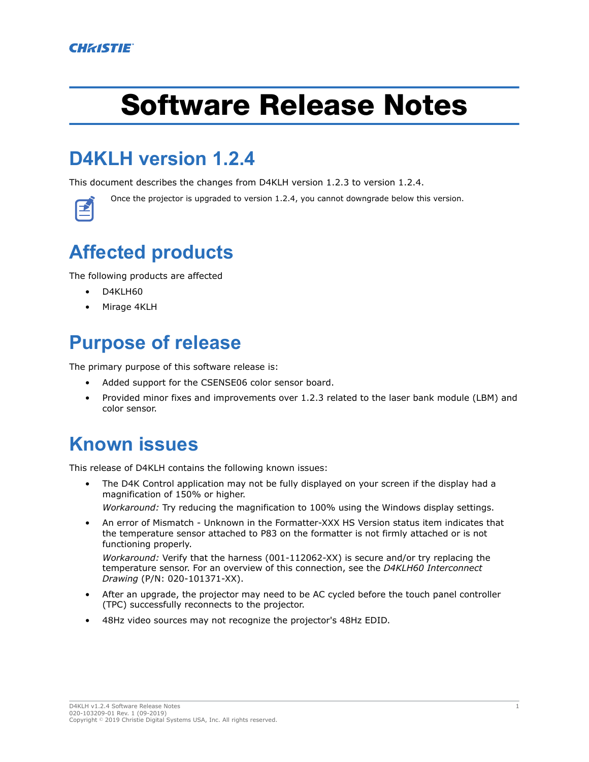# Software Release Notes

## **D4KLH version 1.2.4**

This document describes the changes from D4KLH version 1.2.3 to version 1.2.4.



Once the projector is upgraded to version 1.2.4, you cannot downgrade below this version.

## **Affected products**

The following products are affected

- D4KLH60
- Mirage 4KLH

#### **Purpose of release**

The primary purpose of this software release is:

- Added support for the CSENSE06 color sensor board.
- Provided minor fixes and improvements over 1.2.3 related to the laser bank module (LBM) and color sensor.

### **Known issues**

This release of D4KLH contains the following known issues:

• The D4K Control application may not be fully displayed on your screen if the display had a magnification of 150% or higher.

*Workaround:* Try reducing the magnification to 100% using the Windows display settings.

• An error of Mismatch - Unknown in the Formatter-XXX HS Version status item indicates that the temperature sensor attached to P83 on the formatter is not firmly attached or is not functioning properly.

*Workaround:* Verify that the harness (001-112062-XX) is secure and/or try replacing the temperature sensor. For an overview of this connection, see the *D4KLH60 Interconnect Drawing* (P/N: 020-101371-XX).

- After an upgrade, the projector may need to be AC cycled before the touch panel controller (TPC) successfully reconnects to the projector.
- 48Hz video sources may not recognize the projector's 48Hz EDID.